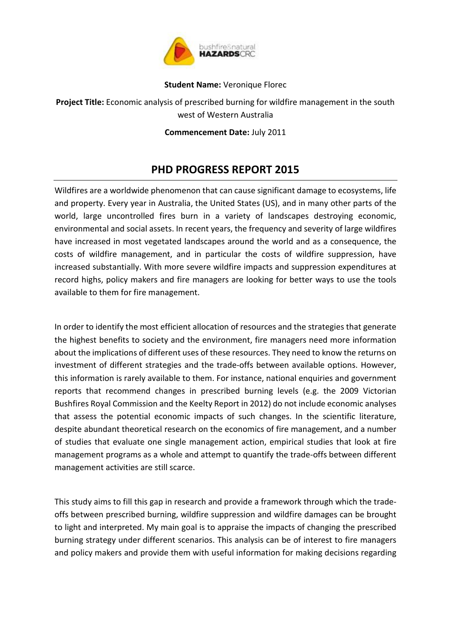

## **Student Name:** Veronique Florec

**Project Title:** Economic analysis of prescribed burning for wildfire management in the south west of Western Australia

**Commencement Date:** July 2011

## **PHD PROGRESS REPORT 2015**

Wildfires are a worldwide phenomenon that can cause significant damage to ecosystems, life and property. Every year in Australia, the United States (US), and in many other parts of the world, large uncontrolled fires burn in a variety of landscapes destroying economic, environmental and social assets. In recent years, the frequency and severity of large wildfires have increased in most vegetated landscapes around the world and as a consequence, the costs of wildfire management, and in particular the costs of wildfire suppression, have increased substantially. With more severe wildfire impacts and suppression expenditures at record highs, policy makers and fire managers are looking for better ways to use the tools available to them for fire management.

In order to identify the most efficient allocation of resources and the strategies that generate the highest benefits to society and the environment, fire managers need more information about the implications of different uses of these resources. They need to know the returns on investment of different strategies and the trade-offs between available options. However, this information is rarely available to them. For instance, national enquiries and government reports that recommend changes in prescribed burning levels (e.g. the 2009 Victorian Bushfires Royal Commission and the Keelty Report in 2012) do not include economic analyses that assess the potential economic impacts of such changes. In the scientific literature, despite abundant theoretical research on the economics of fire management, and a number of studies that evaluate one single management action, empirical studies that look at fire management programs as a whole and attempt to quantify the trade-offs between different management activities are still scarce.

This study aims to fill this gap in research and provide a framework through which the tradeoffs between prescribed burning, wildfire suppression and wildfire damages can be brought to light and interpreted. My main goal is to appraise the impacts of changing the prescribed burning strategy under different scenarios. This analysis can be of interest to fire managers and policy makers and provide them with useful information for making decisions regarding